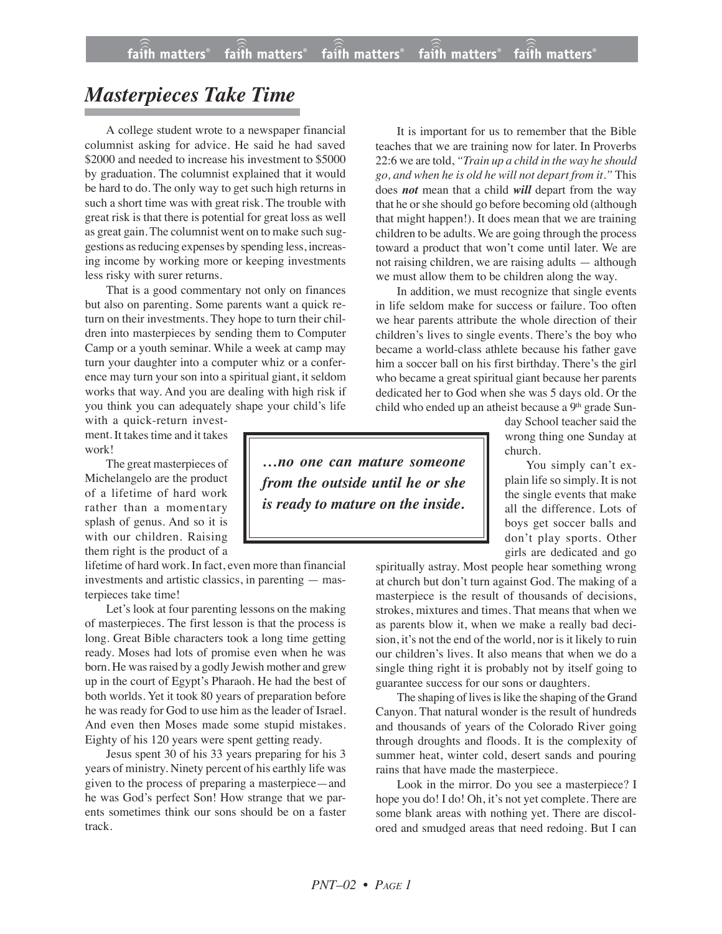## *Masterpieces Take Time*

A college student wrote to a newspaper financial columnist asking for advice. He said he had saved \$2000 and needed to increase his investment to \$5000 by graduation. The columnist explained that it would be hard to do. The only way to get such high returns in such a short time was with great risk. The trouble with great risk is that there is potential for great loss as well as great gain. The columnist went on to make such suggestions as reducing expenses by spending less, increasing income by working more or keeping investments less risky with surer returns.

That is a good commentary not only on finances but also on parenting. Some parents want a quick return on their investments. They hope to turn their children into masterpieces by sending them to Computer Camp or a youth seminar. While a week at camp may turn your daughter into a computer whiz or a conference may turn your son into a spiritual giant, it seldom works that way. And you are dealing with high risk if you think you can adequately shape your child's life

with a quick-return investment. It takes time and it takes work!

The great masterpieces of Michelangelo are the product of a lifetime of hard work rather than a momentary splash of genus. And so it is with our children. Raising them right is the product of a

lifetime of hard work. In fact, even more than financial investments and artistic classics, in parenting — masterpieces take time!

Let's look at four parenting lessons on the making of masterpieces. The first lesson is that the process is long. Great Bible characters took a long time getting ready. Moses had lots of promise even when he was born. He was raised by a godly Jewish mother and grew up in the court of Egypt's Pharaoh. He had the best of both worlds. Yet it took 80 years of preparation before he was ready for God to use him as the leader of Israel. And even then Moses made some stupid mistakes. Eighty of his 120 years were spent getting ready.

Jesus spent 30 of his 33 years preparing for his 3 years of ministry. Ninety percent of his earthly life was given to the process of preparing a masterpiece—and he was God's perfect Son! How strange that we parents sometimes think our sons should be on a faster track.

It is important for us to remember that the Bible teaches that we are training now for later. In Proverbs 22:6 we are told, *"Train up a child in the way he should go, and when he is old he will not depart from it."* This does *not* mean that a child *will* depart from the way that he orshe should go before becoming old (although that might happen!). It does mean that we are training children to be adults. We are going through the process toward a product that won't come until later. We are not raising children, we are raising adults — although we must allow them to be children along the way.

In addition, we must recognize that single events in life seldom make for success or failure. Too often we hear parents attribute the whole direction of their children's lives to single events. There's the boy who became a world-class athlete because his father gave him a soccer ball on his first birthday. There's the girl who became a great spiritual giant because her parents dedicated her to God when she was 5 days old. Or the child who ended up an atheist because a 9<sup>th</sup> grade Sun-

> day School teacher said the wrong thing one Sunday at church.

You simply can't explain life so simply. It is not the single events that make all the difference. Lots of boys get soccer balls and don't play sports. Other girls are dedicated and go

spiritually astray. Most people hear something wrong at church but don't turn against God. The making of a masterpiece is the result of thousands of decisions, strokes, mixtures and times. That means that when we as parents blow it, when we make a really bad decision, it's not the end of the world, nor is it likely to ruin our children's lives. It also means that when we do a single thing right it is probably not by itself going to guarantee success for our sons or daughters.

The shaping of lives is like the shaping of the Grand Canyon. That natural wonder is the result of hundreds and thousands of years of the Colorado River going through droughts and floods. It is the complexity of summer heat, winter cold, desert sands and pouring rains that have made the masterpiece.

Look in the mirror. Do you see a masterpiece? I hope you do! I do! Oh, it's not yet complete. There are some blank areas with nothing yet. There are discolored and smudged areas that need redoing. But I can

*…no one can mature someone from the outside until he or she is ready to mature on the inside.*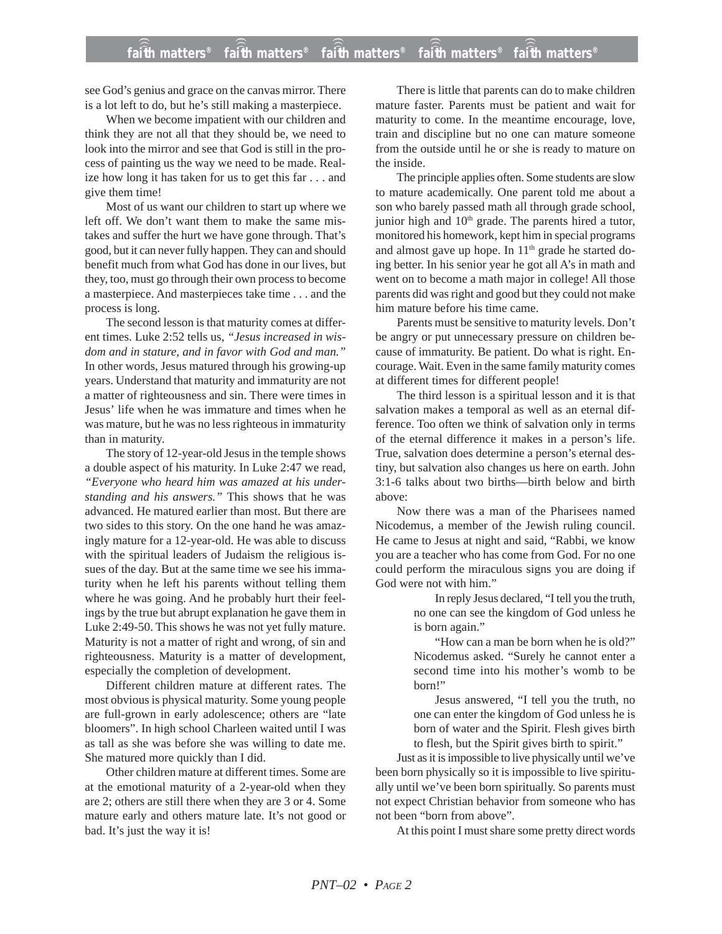## **faith matters® faith matters® faith matters® faith matters® faith matters®** ))) ))) ))) ))) )))

see God's genius and grace on the canvas mirror. There is a lot left to do, but he's still making a masterpiece.

When we become impatient with our children and think they are not all that they should be, we need to look into the mirror and see that God is still in the process of painting us the way we need to be made. Realize how long it has taken for us to get this far . . . and give them time!

Most of us want our children to start up where we left off. We don't want them to make the same mistakes and suffer the hurt we have gone through. That's good, but it can never fully happen. They can and should benefit much from what God has done in our lives, but they, too, must go through their own process to become a masterpiece. And masterpieces take time . . . and the process is long.

The second lesson is that maturity comes at different times. Luke 2:52 tells us, *"Jesus increased in wisdom and in stature, and in favor with God and man."* In other words, Jesus matured through his growing-up years. Understand that maturity and immaturity are not a matter of righteousness and sin. There were times in Jesus' life when he was immature and times when he was mature, but he was no less righteous in immaturity than in maturity.

The story of 12-year-old Jesus in the temple shows a double aspect of his maturity. In Luke 2:47 we read, *"Everyone who heard him was amazed at his understanding and his answers."* This shows that he was advanced. He matured earlier than most. But there are two sides to this story. On the one hand he was amazingly mature for a 12-year-old. He was able to discuss with the spiritual leaders of Judaism the religious issues of the day. But at the same time we see his immaturity when he left his parents without telling them where he was going. And he probably hurt their feelings by the true but abrupt explanation he gave them in Luke 2:49-50. This shows he was not yet fully mature. Maturity is not a matter of right and wrong, of sin and righteousness. Maturity is a matter of development, especially the completion of development.

Different children mature at different rates. The most obvious is physical maturity. Some young people are full-grown in early adolescence; others are "late bloomers". In high school Charleen waited until I was as tall as she was before she was willing to date me. She matured more quickly than I did.

Other children mature at different times. Some are at the emotional maturity of a 2-year-old when they are 2; others are still there when they are 3 or 4. Some mature early and others mature late. It's not good or bad. It's just the way it is!

There is little that parents can do to make children mature faster. Parents must be patient and wait for maturity to come. In the meantime encourage, love, train and discipline but no one can mature someone from the outside until he or she is ready to mature on the inside.

The principle applies often. Some students are slow to mature academically. One parent told me about a son who barely passed math all through grade school, junior high and 10<sup>th</sup> grade. The parents hired a tutor, monitored his homework, kept him in special programs and almost gave up hope. In 11<sup>th</sup> grade he started doing better. In his senior year he got all A's in math and went on to become a math major in college! All those parents did was right and good but they could not make him mature before his time came.

Parents must be sensitive to maturity levels. Don't be angry or put unnecessary pressure on children because of immaturity. Be patient. Do what is right. Encourage. Wait. Even in the same family maturity comes at different times for different people!

The third lesson is a spiritual lesson and it is that salvation makes a temporal as well as an eternal difference. Too often we think of salvation only in terms of the eternal difference it makes in a person's life. True, salvation does determine a person's eternal destiny, but salvation also changes us here on earth. John 3:1-6 talks about two births—birth below and birth above:

Now there was a man of the Pharisees named Nicodemus, a member of the Jewish ruling council. He came to Jesus at night and said, "Rabbi, we know you are a teacher who has come from God. For no one could perform the miraculous signs you are doing if God were not with him."

> In reply Jesus declared, "I tell you the truth, no one can see the kingdom of God unless he is born again."

> "How can a man be born when he is old?" Nicodemus asked. "Surely he cannot enter a second time into his mother's womb to be born!"

> Jesus answered, "I tell you the truth, no one can enter the kingdom of God unless he is born of water and the Spirit. Flesh gives birth to flesh, but the Spirit gives birth to spirit."

Just as it is impossible to live physically until we've been born physically so it is impossible to live spiritually until we've been born spiritually. So parents must not expect Christian behavior from someone who has not been "born from above".

At this point I must share some pretty direct words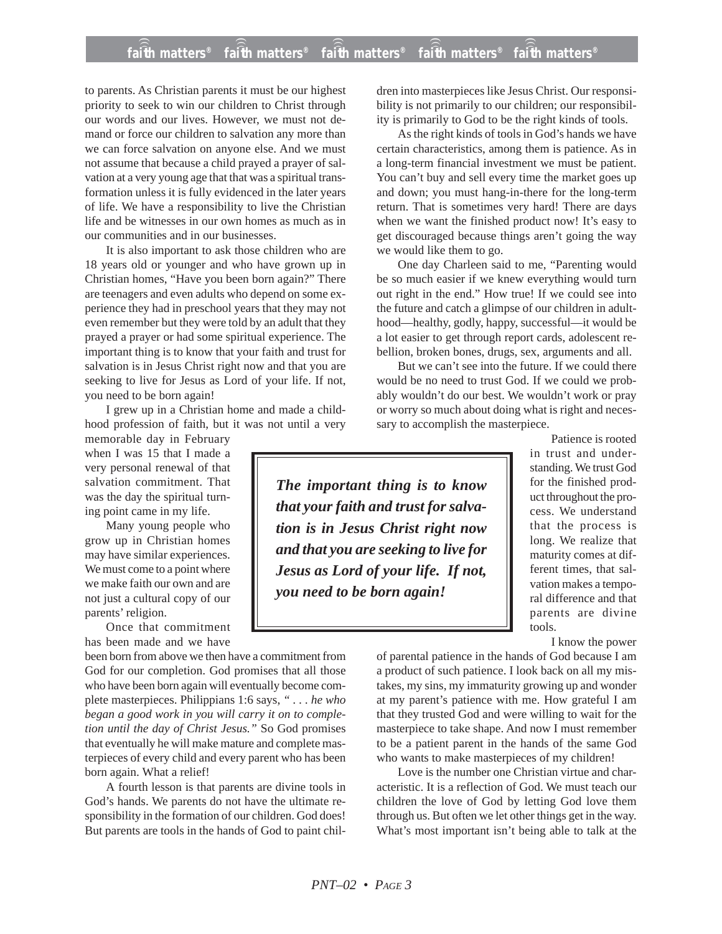## **faith matters® faith matters® faith matters® faith matters® faith matters®** ))) ))) faith matters<sup>®</sup> faith matters® faith matters

to parents. As Christian parents it must be our highest priority to seek to win our children to Christ through our words and our lives. However, we must not demand or force our children to salvation any more than we can force salvation on anyone else. And we must not assume that because a child prayed a prayer of salvation at a very young age that that was a spiritual transformation unless it is fully evidenced in the later years of life. We have a responsibility to live the Christian life and be witnesses in our own homes as much as in our communities and in our businesses.

It is also important to ask those children who are 18 years old or younger and who have grown up in Christian homes, "Have you been born again?" There are teenagers and even adults who depend on some experience they had in preschool years that they may not even remember but they were told by an adult that they prayed a prayer or had some spiritual experience. The important thing is to know that your faith and trust for salvation is in Jesus Christ right now and that you are seeking to live for Jesus as Lord of your life. If not, you need to be born again!

I grew up in a Christian home and made a childhood profession of faith, but it was not until a very

memorable day in February when I was 15 that I made a very personal renewal of that salvation commitment. That was the day the spiritual turning point came in my life.

Many young people who grow up in Christian homes may have similar experiences. We must come to a point where we make faith our own and are not just a cultural copy of our parents' religion.

Once that commitment has been made and we have

been born from above we then have a commitment from God for our completion. God promises that all those who have been born again will eventually become complete masterpieces. Philippians 1:6 says, *" . . . he who began a good work in you will carry it on to completion until the day of Christ Jesus."* So God promises that eventually he will make mature and complete masterpieces of every child and every parent who has been born again. What a relief!

A fourth lesson is that parents are divine tools in God's hands. We parents do not have the ultimate responsibility in the formation of our children. God does! But parents are tools in the hands of God to paint children into masterpieces like Jesus Christ. Our responsibility is not primarily to our children; our responsibility is primarily to God to be the right kinds of tools.

As the right kinds of tools in God's hands we have certain characteristics, among them is patience. As in a long-term financial investment we must be patient. You can't buy and sell every time the market goes up and down; you must hang-in-there for the long-term return. That is sometimes very hard! There are days when we want the finished product now! It's easy to get discouraged because things aren't going the way we would like them to go.

One day Charleen said to me, "Parenting would be so much easier if we knew everything would turn out right in the end." How true! If we could see into the future and catch a glimpse of our children in adulthood—healthy, godly, happy, successful—it would be a lot easier to get through report cards, adolescent rebellion, broken bones, drugs, sex, arguments and all.

But we can't see into the future. If we could there would be no need to trust God. If we could we probably wouldn't do our best. We wouldn't work or pray or worry so much about doing what is right and necessary to accomplish the masterpiece.

*The important thing is to know that your faith and trust for salvation is in Jesus Christ right now and that you are seeking to live for Jesus as Lord of your life. If not, you need to be born again!*

Patience is rooted in trust and understanding. We trust God for the finished product throughout the process. We understand that the process is long. We realize that maturity comes at different times, that salvation makes a temporal difference and that parents are divine tools.

I know the power

of parental patience in the hands of God because I am a product of such patience. I look back on all my mistakes, my sins, my immaturity growing up and wonder at my parent's patience with me. How grateful I am that they trusted God and were willing to wait for the masterpiece to take shape. And now I must remember to be a patient parent in the hands of the same God who wants to make masterpieces of my children!

Love is the number one Christian virtue and characteristic. It is a reflection of God. We must teach our children the love of God by letting God love them through us. But often we let other things get in the way. What's most important isn't being able to talk at the